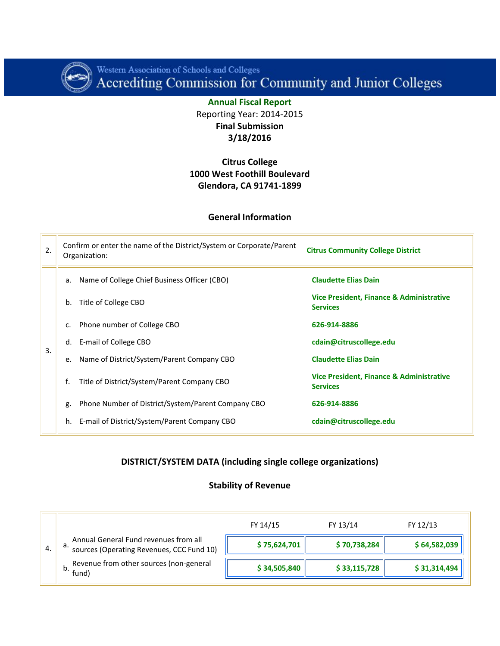

Western Association of Schools and Colleges<br>Accrediting Commission for Community and Junior Colleges

**Annual Fiscal Report** Reporting Year: 2014-2015 **Final Submission 3/18/2016**

### **Citrus College 1000 West Foothill Boulevard Glendora, CA 91741-1899**

#### **General Information**

| 2. | Confirm or enter the name of the District/System or Corporate/Parent<br>Organization: | <b>Citrus Community College District</b>                    |
|----|---------------------------------------------------------------------------------------|-------------------------------------------------------------|
|    | Name of College Chief Business Officer (CBO)<br>a.                                    | <b>Claudette Elias Dain</b>                                 |
|    | Title of College CBO<br>b.                                                            | Vice President, Finance & Administrative<br><b>Services</b> |
|    | Phone number of College CBO<br>$C_{\bullet}$                                          | 626-914-8886                                                |
| 3. | E-mail of College CBO<br>d.                                                           | cdain@citruscollege.edu                                     |
|    | Name of District/System/Parent Company CBO<br>e.                                      | <b>Claudette Elias Dain</b>                                 |
|    | f.<br>Title of District/System/Parent Company CBO                                     | Vice President, Finance & Administrative<br><b>Services</b> |
|    | Phone Number of District/System/Parent Company CBO<br>g.                              | 626-914-8886                                                |
|    | E-mail of District/System/Parent Company CBO<br>h.                                    | cdain@citruscollege.edu                                     |

### **DISTRICT/SYSTEM DATA (including single college organizations)**

#### **Stability of Revenue**

|    |                                                                                          | FY 14/15     | FY 13/14     | FY 12/13     |
|----|------------------------------------------------------------------------------------------|--------------|--------------|--------------|
| 4. | Annual General Fund revenues from all<br>а.<br>sources (Operating Revenues, CCC Fund 10) | \$75,624,701 | \$70,738,284 | \$64,582,039 |
|    | Revenue from other sources (non-general<br>fund)                                         | \$34,505,840 | \$33,115,728 | \$31,314,494 |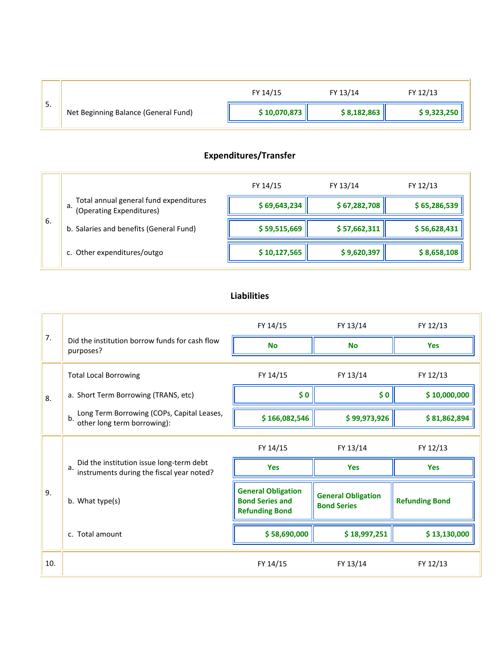| 5. |                                      | FY 14/15     | FY 13/14    | FY 12/13    |
|----|--------------------------------------|--------------|-------------|-------------|
|    | Net Beginning Balance (General Fund) | \$10,070,873 | \$8,182,863 | \$9,323,250 |
|    |                                      |              |             |             |

# **Expenditures/Transfer**

|     |                                                                       | FY 14/15     | FY 13/14     | FY 12/13     |
|-----|-----------------------------------------------------------------------|--------------|--------------|--------------|
|     | Total annual general fund expenditures<br>a. (Operating Expenditures) | \$69,643,234 | \$67,282,708 | \$65,286,539 |
| -6. | b. Salaries and benefits (General Fund)                               | \$59,515,669 | \$57,662,311 | \$56,628,431 |
|     | c. Other expenditures/outgo                                           | \$10,127,565 | \$9,620,397  | \$8,658,108  |

## **Liabilities**

|     |                                                                                             | FY 14/15                                                                     | FY 13/14                                        | FY 12/13              |
|-----|---------------------------------------------------------------------------------------------|------------------------------------------------------------------------------|-------------------------------------------------|-----------------------|
| 7.  | Did the institution borrow funds for cash flow<br>purposes?                                 | <b>No</b>                                                                    | <b>No</b>                                       | <b>Yes</b>            |
|     | <b>Total Local Borrowing</b>                                                                | FY 14/15                                                                     | FY 13/14                                        | FY 12/13              |
| 8.  | a. Short Term Borrowing (TRANS, etc)                                                        | \$0                                                                          | \$0                                             | \$10,000,000          |
|     | Long Term Borrowing (COPs, Capital Leases,<br>b <sub>1</sub><br>other long term borrowing): | \$166,082,546                                                                | \$99,973,926                                    | \$81,862,894          |
|     |                                                                                             | FY 14/15                                                                     | FY 13/14                                        | FY 12/13              |
|     | Did the institution issue long-term debt<br>a.<br>instruments during the fiscal year noted? | <b>Yes</b>                                                                   | <b>Yes</b>                                      | Yes                   |
| 9.  | b. What type(s)                                                                             | <b>General Obligation</b><br><b>Bond Series and</b><br><b>Refunding Bond</b> | <b>General Obligation</b><br><b>Bond Series</b> | <b>Refunding Bond</b> |
|     | c. Total amount                                                                             | \$58,690,000                                                                 | \$18,997,251                                    | \$13,130,000          |
| 10. |                                                                                             | FY 14/15                                                                     | FY 13/14                                        | FY 12/13              |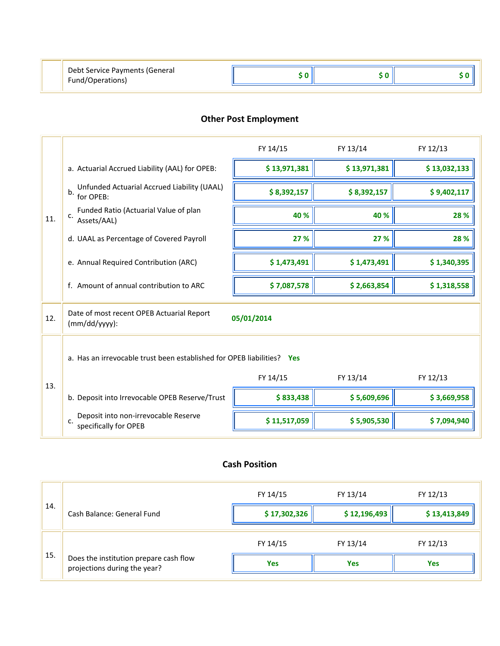| Debt Service Payments (General |  |  |
|--------------------------------|--|--|
| Fund/Operations)               |  |  |

# **Other Post Employment**

÷

|     |                                                                        | FY 14/15     | FY 13/14     | FY 12/13     |
|-----|------------------------------------------------------------------------|--------------|--------------|--------------|
|     | a. Actuarial Accrued Liability (AAL) for OPEB:                         | \$13,971,381 | \$13,971,381 | \$13,032,133 |
|     | Unfunded Actuarial Accrued Liability (UAAL)<br>b.<br>for OPEB:         | \$8,392,157  | \$8,392,157  | \$9,402,117  |
| 11. | Funded Ratio (Actuarial Value of plan<br>C <sub>1</sub><br>Assets/AAL) | 40 %         | 40 %         | 28 %         |
|     | d. UAAL as Percentage of Covered Payroll                               | 27 %         | 27 %         | 28 %         |
|     | e. Annual Required Contribution (ARC)                                  | \$1,473,491  | \$1,473,491  | \$1,340,395  |
|     | f. Amount of annual contribution to ARC                                | \$7,087,578  | \$2,663,854  | \$1,318,558  |
| 12. | Date of most recent OPEB Actuarial Report<br>$(mm/dd/yyyy)$ :          | 05/01/2014   |              |              |
|     | a. Has an irrevocable trust been established for OPEB liabilities? Yes |              |              |              |
| 13. |                                                                        | FY 14/15     | FY 13/14     | FY 12/13     |
|     | b. Deposit into Irrevocable OPEB Reserve/Trust                         | \$833,438    | \$5,609,696  | \$3,669,958  |
|     | Deposit into non-irrevocable Reserve<br>c.<br>specifically for OPEB    | \$11,517,059 | \$5,905,530  | \$7,094,940  |

## **Cash Position**

|     |                                                                        | FY 14/15     | FY 13/14     | FY 12/13     |
|-----|------------------------------------------------------------------------|--------------|--------------|--------------|
| 14. | Cash Balance: General Fund                                             | \$17,302,326 | \$12,196,493 | \$13,413,849 |
|     |                                                                        | FY 14/15     | FY 13/14     | FY 12/13     |
| 15. | Does the institution prepare cash flow<br>projections during the year? | <b>Yes</b>   | <b>Yes</b>   | <b>Yes</b>   |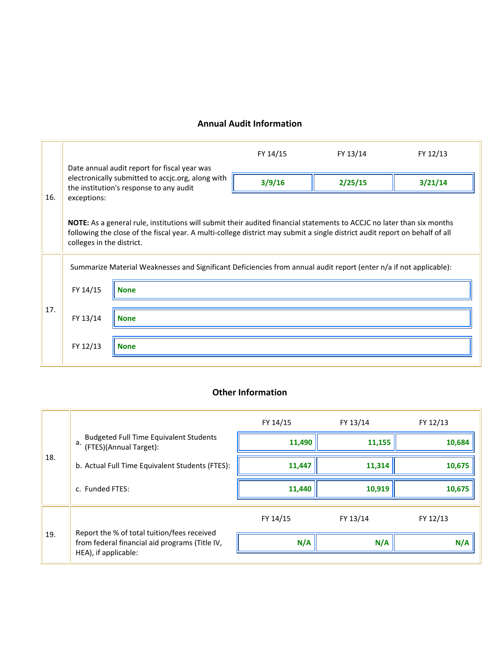## **Annual Audit Information**

|     |                                                                                                                    | Date annual audit report for fiscal year was                                                                                                                                                                                                                 | FY 14/15 | FY 13/14 | FY 12/13 |
|-----|--------------------------------------------------------------------------------------------------------------------|--------------------------------------------------------------------------------------------------------------------------------------------------------------------------------------------------------------------------------------------------------------|----------|----------|----------|
|     | electronically submitted to accjc.org, along with<br>the institution's response to any audit                       |                                                                                                                                                                                                                                                              | 3/9/16   | 2/25/15  | 3/21/14  |
| 16. | exceptions:                                                                                                        |                                                                                                                                                                                                                                                              |          |          |          |
|     | colleges in the district.                                                                                          | <b>NOTE:</b> As a general rule, institutions will submit their audited financial statements to ACCJC no later than six months<br>following the close of the fiscal year. A multi-college district may submit a single district audit report on behalf of all |          |          |          |
|     |                                                                                                                    |                                                                                                                                                                                                                                                              |          |          |          |
|     | Summarize Material Weaknesses and Significant Deficiencies from annual audit report (enter n/a if not applicable): |                                                                                                                                                                                                                                                              |          |          |          |
| 17. | FY 14/15                                                                                                           | <b>None</b>                                                                                                                                                                                                                                                  |          |          |          |
|     |                                                                                                                    |                                                                                                                                                                                                                                                              |          |          |          |
|     | FY 13/14                                                                                                           | <b>None</b>                                                                                                                                                                                                                                                  |          |          |          |
|     |                                                                                                                    |                                                                                                                                                                                                                                                              |          |          |          |
|     | FY 12/13                                                                                                           | <b>None</b>                                                                                                                                                                                                                                                  |          |          |          |
|     |                                                                                                                    |                                                                                                                                                                                                                                                              |          |          |          |

## **Other Information**

|     |                                                                                                                       | FY 14/15 | FY 13/14 | FY 12/13 |
|-----|-----------------------------------------------------------------------------------------------------------------------|----------|----------|----------|
|     | Budgeted Full Time Equivalent Students<br>a. (FTES)(Annual Target):                                                   | 11,490   | 11,155   | 10,684   |
| 18. | b. Actual Full Time Equivalent Students (FTES):                                                                       | 11,447   | 11,314   | 10,675   |
|     | c. Funded FTES:                                                                                                       | 11,440   | 10,919   | 10,675   |
|     |                                                                                                                       | FY 14/15 | FY 13/14 | FY 12/13 |
| 19. | Report the % of total tuition/fees received<br>from federal financial aid programs (Title IV,<br>HEA), if applicable: | N/A      | N/A      | N/A      |